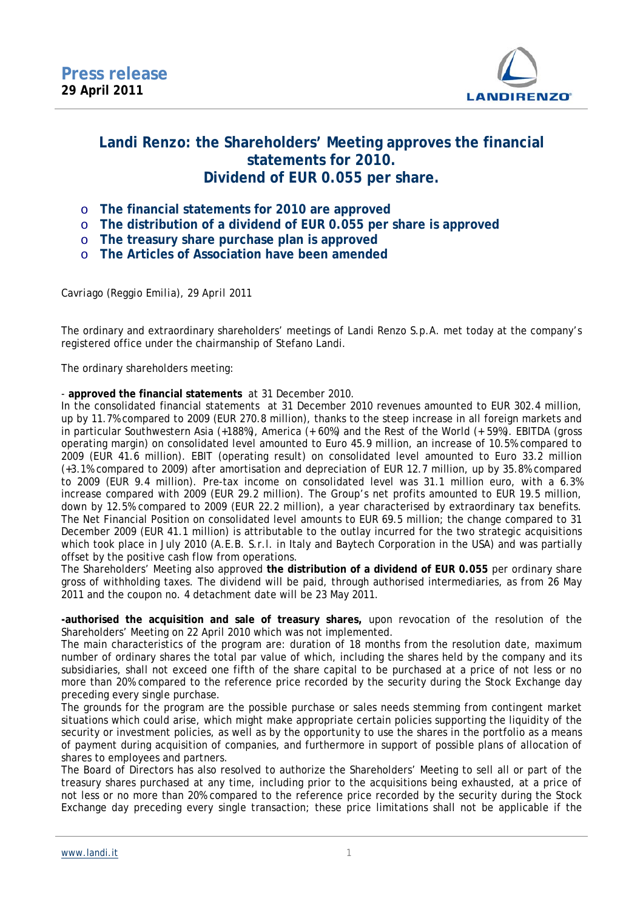

## **Landi Renzo: the Shareholders' Meeting approves the financial statements for 2010. Dividend of EUR 0.055 per share.**

- o **The financial statements for 2010 are approved**
- o **The distribution of a dividend of EUR 0.055 per share is approved**
- o **The treasury share purchase plan is approved**
- o **The Articles of Association have been amended**

*Cavriago (Reggio Emilia), 29 April 2011* 

The ordinary and extraordinary shareholders' meetings of Landi Renzo S.p.A. met today at the company's registered office under the chairmanship of Stefano Landi.

The ordinary shareholders meeting:

- **approved the financial statements** at 31 December 2010.

In the consolidated financial statements at 31 December 2010 revenues amounted to EUR 302.4 million, up by 11.7% compared to 2009 (EUR 270.8 million), thanks to the steep increase in all foreign markets and in particular Southwestern Asia (+188%), America (+ 60%) and the Rest of the World (+ 59%). EBITDA (gross operating margin) on consolidated level amounted to Euro 45.9 million, an increase of 10.5% compared to 2009 (EUR 41.6 million). EBIT (operating result) on consolidated level amounted to Euro 33.2 million (+3.1% compared to 2009) after amortisation and depreciation of EUR 12.7 million, up by 35.8% compared to 2009 (EUR 9.4 million). Pre-tax income on consolidated level was 31.1 million euro, with a 6.3% increase compared with 2009 (EUR 29.2 million). The Group's net profits amounted to EUR 19.5 million, down by 12.5% compared to 2009 (EUR 22.2 million), a year characterised by extraordinary tax benefits. The Net Financial Position on consolidated level amounts to EUR 69.5 million; the change compared to 31 December 2009 (EUR 41.1 million) is attributable to the outlay incurred for the two strategic acquisitions which took place in July 2010 (A.E.B. S.r.l. in Italy and Baytech Corporation in the USA) and was partially offset by the positive cash flow from operations.

The Shareholders' Meeting also approved **the distribution of a dividend of EUR 0.055** per ordinary share gross of withholding taxes. The dividend will be paid, through authorised intermediaries, as from 26 May 2011 and the coupon no. 4 detachment date will be 23 May 2011.

**-authorised the acquisition and sale of treasury shares,** upon revocation of the resolution of the Shareholders' Meeting on 22 April 2010 which was not implemented.

The main characteristics of the program are: duration of 18 months from the resolution date, maximum number of ordinary shares the total par value of which, including the shares held by the company and its subsidiaries, shall not exceed one fifth of the share capital to be purchased at a price of not less or no more than 20% compared to the reference price recorded by the security during the Stock Exchange day preceding every single purchase.

The grounds for the program are the possible purchase or sales needs stemming from contingent market situations which could arise, which might make appropriate certain policies supporting the liquidity of the security or investment policies, as well as by the opportunity to use the shares in the portfolio as a means of payment during acquisition of companies, and furthermore in support of possible plans of allocation of shares to employees and partners.

The Board of Directors has also resolved to authorize the Shareholders' Meeting to sell all or part of the treasury shares purchased at any time, including prior to the acquisitions being exhausted, at a price of not less or no more than 20% compared to the reference price recorded by the security during the Stock Exchange day preceding every single transaction; these price limitations shall not be applicable if the